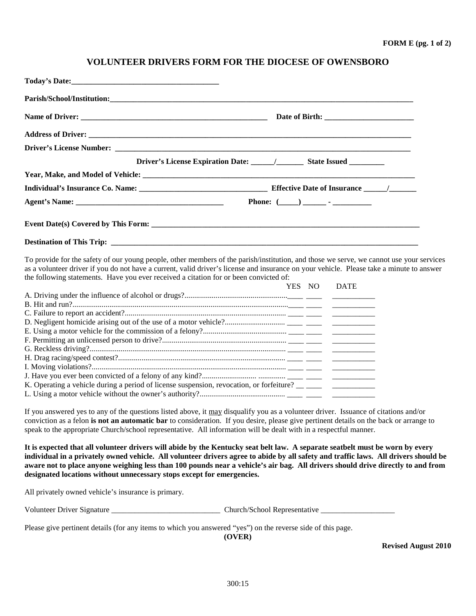## **VOLUNTEER DRIVERS FORM FOR THE DIOCESE OF OWENSBORO**

To provide for the safety of our young people, other members of the parish/institution, and those we serve, we cannot use your services as a volunteer driver if you do not have a current, valid driver's license and insurance on your vehicle. Please take a minute to answer the following statements. Have you ever received a citation for or been convicted of:

|                                                                                                                | NO. | <b>DATE</b> |
|----------------------------------------------------------------------------------------------------------------|-----|-------------|
|                                                                                                                |     |             |
|                                                                                                                |     |             |
|                                                                                                                |     |             |
|                                                                                                                |     |             |
|                                                                                                                |     |             |
|                                                                                                                |     |             |
|                                                                                                                |     |             |
|                                                                                                                |     |             |
|                                                                                                                |     |             |
|                                                                                                                |     |             |
| K. Operating a vehicle during a period of license suspension, revocation, or forfeiture? _____________________ |     |             |
|                                                                                                                |     |             |

If you answered yes to any of the questions listed above, it may disqualify you as a volunteer driver. Issuance of citations and/or conviction as a felon **is not an automatic bar** to consideration. If you desire, please give pertinent details on the back or arrange to speak to the appropriate Church/school representative. All information will be dealt with in a respectful manner.

**It is expected that all volunteer drivers will abide by the Kentucky seat belt law. A separate seatbelt must be worn by every individual in a privately owned vehicle. All volunteer drivers agree to abide by all safety and traffic laws. All drivers should be aware not to place anyone weighing less than 100 pounds near a vehicle's air bag. All drivers should drive directly to and from designated locations without unnecessary stops except for emergencies.** 

All privately owned vehicle's insurance is primary.

Volunteer Driver Signature \_\_\_\_\_\_\_\_\_\_\_\_\_\_\_\_\_\_\_\_\_\_\_\_\_\_\_\_ Church/School Representative \_\_\_\_\_\_\_\_\_\_\_\_\_\_\_\_\_\_\_

Please give pertinent details (for any items to which you answered "yes") on the reverse side of this page.

**(OVER)** 

**Revised August 2010**